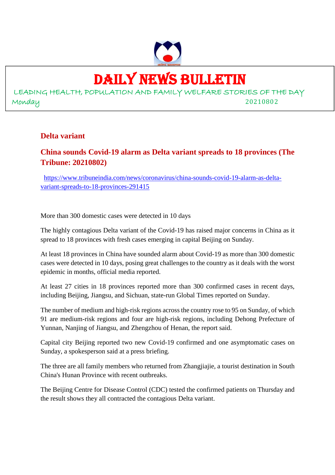

# DAILY NEWS BULLETIN

LEADING HEALTH, POPULATION AND FAMILY WELFARE STORIES OF THE DAY Monday 20210802

#### **Delta variant**

#### **China sounds Covid-19 alarm as Delta variant spreads to 18 provinces (The Tribune: 20210802)**

https://www.tribuneindia.com/news/coronavirus/china-sounds-covid-19-alarm-as-deltavariant-spreads-to-18-provinces-291415

More than 300 domestic cases were detected in 10 days

The highly contagious Delta variant of the Covid-19 has raised major concerns in China as it spread to 18 provinces with fresh cases emerging in capital Beijing on Sunday.

At least 18 provinces in China have sounded alarm about Covid-19 as more than 300 domestic cases were detected in 10 days, posing great challenges to the country as it deals with the worst epidemic in months, official media reported.

At least 27 cities in 18 provinces reported more than 300 confirmed cases in recent days, including Beijing, Jiangsu, and Sichuan, state-run Global Times reported on Sunday.

The number of medium and high-risk regions across the country rose to 95 on Sunday, of which 91 are medium-risk regions and four are high-risk regions, including Dehong Prefecture of Yunnan, Nanjing of Jiangsu, and Zhengzhou of Henan, the report said.

Capital city Beijing reported two new Covid-19 confirmed and one asymptomatic cases on Sunday, a spokesperson said at a press briefing.

The three are all family members who returned from Zhangjiajie, a tourist destination in South China's Hunan Province with recent outbreaks.

The Beijing Centre for Disease Control (CDC) tested the confirmed patients on Thursday and the result shows they all contracted the contagious Delta variant.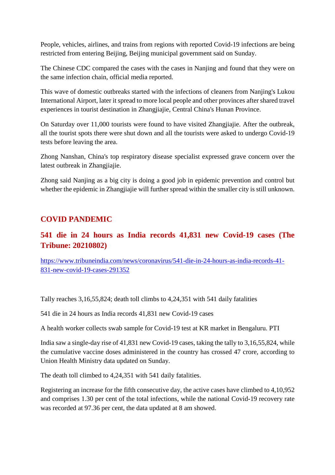People, vehicles, airlines, and trains from regions with reported Covid-19 infections are being restricted from entering Beijing, Beijing municipal government said on Sunday.

The Chinese CDC compared the cases with the cases in Nanjing and found that they were on the same infection chain, official media reported.

This wave of domestic outbreaks started with the infections of cleaners from Nanjing's Lukou International Airport, later it spread to more local people and other provinces after shared travel experiences in tourist destination in Zhangjiajie, Central China's Hunan Province.

On Saturday over 11,000 tourists were found to have visited Zhangjiajie. After the outbreak, all the tourist spots there were shut down and all the tourists were asked to undergo Covid-19 tests before leaving the area.

Zhong Nanshan, China's top respiratory disease specialist expressed grave concern over the latest outbreak in Zhangjiajie.

Zhong said Nanjing as a big city is doing a good job in epidemic prevention and control but whether the epidemic in Zhangjiajie will further spread within the smaller city is still unknown.

#### **COVID PANDEMIC**

#### **541 die in 24 hours as India records 41,831 new Covid-19 cases (The Tribune: 20210802)**

https://www.tribuneindia.com/news/coronavirus/541-die-in-24-hours-as-india-records-41- 831-new-covid-19-cases-291352

Tally reaches 3,16,55,824; death toll climbs to 4,24,351 with 541 daily fatalities

541 die in 24 hours as India records 41,831 new Covid-19 cases

A health worker collects swab sample for Covid-19 test at KR market in Bengaluru. PTI

India saw a single-day rise of 41,831 new Covid-19 cases, taking the tally to 3,16,55,824, while the cumulative vaccine doses administered in the country has crossed 47 crore, according to Union Health Ministry data updated on Sunday.

The death toll climbed to 4,24,351 with 541 daily fatalities.

Registering an increase for the fifth consecutive day, the active cases have climbed to 4,10,952 and comprises 1.30 per cent of the total infections, while the national Covid-19 recovery rate was recorded at 97.36 per cent, the data updated at 8 am showed.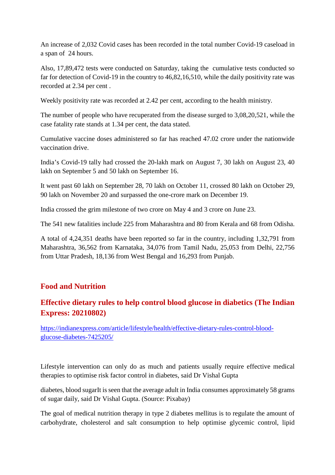An increase of 2,032 Covid cases has been recorded in the total number Covid-19 caseload in a span of 24 hours.

Also, 17,89,472 tests were conducted on Saturday, taking the cumulative tests conducted so far for detection of Covid-19 in the country to 46,82,16,510, while the daily positivity rate was recorded at 2.34 per cent .

Weekly positivity rate was recorded at 2.42 per cent, according to the health ministry.

The number of people who have recuperated from the disease surged to 3,08,20,521, while the case fatality rate stands at 1.34 per cent, the data stated.

Cumulative vaccine doses administered so far has reached 47.02 crore under the nationwide vaccination drive.

India's Covid-19 tally had crossed the 20-lakh mark on August 7, 30 lakh on August 23, 40 lakh on September 5 and 50 lakh on September 16.

It went past 60 lakh on September 28, 70 lakh on October 11, crossed 80 lakh on October 29, 90 lakh on November 20 and surpassed the one-crore mark on December 19.

India crossed the grim milestone of two crore on May 4 and 3 crore on June 23.

The 541 new fatalities include 225 from Maharashtra and 80 from Kerala and 68 from Odisha.

A total of 4,24,351 deaths have been reported so far in the country, including 1,32,791 from Maharashtra, 36,562 from Karnataka, 34,076 from Tamil Nadu, 25,053 from Delhi, 22,756 from Uttar Pradesh, 18,136 from West Bengal and 16,293 from Punjab.

#### **Food and Nutrition**

#### **Effective dietary rules to help control blood glucose in diabetics (The Indian Express: 20210802)**

https://indianexpress.com/article/lifestyle/health/effective-dietary-rules-control-bloodglucose-diabetes-7425205/

Lifestyle intervention can only do as much and patients usually require effective medical therapies to optimise risk factor control in diabetes, said Dr Vishal Gupta

diabetes, blood sugarIt is seen that the average adult in India consumes approximately 58 grams of sugar daily, said Dr Vishal Gupta. (Source: Pixabay)

The goal of medical nutrition therapy in type 2 diabetes mellitus is to regulate the amount of carbohydrate, cholesterol and salt consumption to help optimise glycemic control, lipid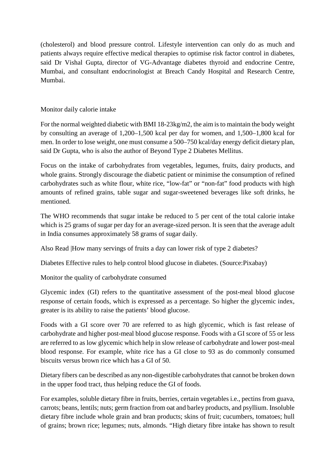(cholesterol) and blood pressure control. Lifestyle intervention can only do as much and patients always require effective medical therapies to optimise risk factor control in diabetes, said Dr Vishal Gupta, director of VG-Advantage diabetes thyroid and endocrine Centre, Mumbai, and consultant endocrinologist at Breach Candy Hospital and Research Centre, Mumbai.

#### Monitor daily calorie intake

For the normal weighted diabetic with BMI 18-23kg/m2, the aim is to maintain the body weight by consulting an average of 1,200–1,500 kcal per day for women, and 1,500–1,800 kcal for men. In order to lose weight, one must consume a 500–750 kcal/day energy deficit dietary plan, said Dr Gupta, who is also the author of Beyond Type 2 Diabetes Mellitus.

Focus on the intake of carbohydrates from vegetables, legumes, fruits, dairy products, and whole grains. Strongly discourage the diabetic patient or minimise the consumption of refined carbohydrates such as white flour, white rice, "low-fat" or "non-fat" food products with high amounts of refined grains, table sugar and sugar-sweetened beverages like soft drinks, he mentioned.

The WHO recommends that sugar intake be reduced to 5 per cent of the total calorie intake which is 25 grams of sugar per day for an average-sized person. It is seen that the average adult in India consumes approximately 58 grams of sugar daily.

Also Read |How many servings of fruits a day can lower risk of type 2 diabetes?

Diabetes Effective rules to help control blood glucose in diabetes. (Source:Pixabay)

Monitor the quality of carbohydrate consumed

Glycemic index (GI) refers to the quantitative assessment of the post-meal blood glucose response of certain foods, which is expressed as a percentage. So higher the glycemic index, greater is its ability to raise the patients' blood glucose.

Foods with a GI score over 70 are referred to as high glycemic, which is fast release of carbohydrate and higher post-meal blood glucose response. Foods with a GI score of 55 or less are referred to as low glycemic which help in slow release of carbohydrate and lower post-meal blood response. For example, white rice has a GI close to 93 as do commonly consumed biscuits versus brown rice which has a GI of 50.

Dietary fibers can be described as any non-digestible carbohydrates that cannot be broken down in the upper food tract, thus helping reduce the GI of foods.

For examples, soluble dietary fibre in fruits, berries, certain vegetables i.e., pectins from guava, carrots; beans, lentils; nuts; germ fraction from oat and barley products, and psyllium. Insoluble dietary fibre include whole grain and bran products; skins of fruit; cucumbers, tomatoes; hull of grains; brown rice; legumes; nuts, almonds. "High dietary fibre intake has shown to result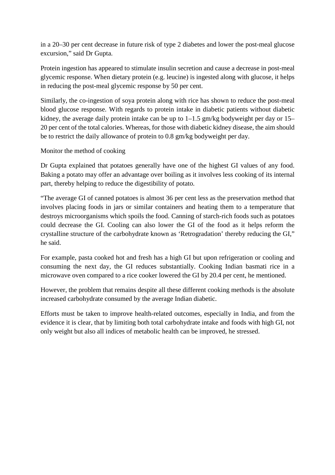in a 20–30 per cent decrease in future risk of type 2 diabetes and lower the post-meal glucose excursion," said Dr Gupta.

Protein ingestion has appeared to stimulate insulin secretion and cause a decrease in post-meal glycemic response. When dietary protein (e.g. leucine) is ingested along with glucose, it helps in reducing the post-meal glycemic response by 50 per cent.

Similarly, the co-ingestion of soya protein along with rice has shown to reduce the post-meal blood glucose response. With regards to protein intake in diabetic patients without diabetic kidney, the average daily protein intake can be up to 1–1.5 gm/kg bodyweight per day or 15– 20 per cent of the total calories. Whereas, for those with diabetic kidney disease, the aim should be to restrict the daily allowance of protein to 0.8 gm/kg bodyweight per day.

Monitor the method of cooking

Dr Gupta explained that potatoes generally have one of the highest GI values of any food. Baking a potato may offer an advantage over boiling as it involves less cooking of its internal part, thereby helping to reduce the digestibility of potato.

"The average GI of canned potatoes is almost 36 per cent less as the preservation method that involves placing foods in jars or similar containers and heating them to a temperature that destroys microorganisms which spoils the food. Canning of starch-rich foods such as potatoes could decrease the GI. Cooling can also lower the GI of the food as it helps reform the crystalline structure of the carbohydrate known as 'Retrogradation' thereby reducing the GI," he said.

For example, pasta cooked hot and fresh has a high GI but upon refrigeration or cooling and consuming the next day, the GI reduces substantially. Cooking Indian basmati rice in a microwave oven compared to a rice cooker lowered the GI by 20.4 per cent, he mentioned.

However, the problem that remains despite all these different cooking methods is the absolute increased carbohydrate consumed by the average Indian diabetic.

Efforts must be taken to improve health-related outcomes, especially in India, and from the evidence it is clear, that by limiting both total carbohydrate intake and foods with high GI, not only weight but also all indices of metabolic health can be improved, he stressed.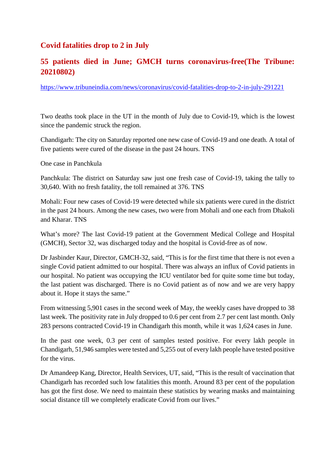#### **Covid fatalities drop to 2 in July**

#### **55 patients died in June; GMCH turns coronavirus-free(The Tribune: 20210802)**

https://www.tribuneindia.com/news/coronavirus/covid-fatalities-drop-to-2-in-july-291221

Two deaths took place in the UT in the month of July due to Covid-19, which is the lowest since the pandemic struck the region.

Chandigarh: The city on Saturday reported one new case of Covid-19 and one death. A total of five patients were cured of the disease in the past 24 hours. TNS

One case in Panchkula

Panchkula: The district on Saturday saw just one fresh case of Covid-19, taking the tally to 30,640. With no fresh fatality, the toll remained at 376. TNS

Mohali: Four new cases of Covid-19 were detected while six patients were cured in the district in the past 24 hours. Among the new cases, two were from Mohali and one each from Dhakoli and Kharar. TNS

What's more? The last Covid-19 patient at the Government Medical College and Hospital (GMCH), Sector 32, was discharged today and the hospital is Covid-free as of now.

Dr Jasbinder Kaur, Director, GMCH-32, said, "This is for the first time that there is not even a single Covid patient admitted to our hospital. There was always an influx of Covid patients in our hospital. No patient was occupying the ICU ventilator bed for quite some time but today, the last patient was discharged. There is no Covid patient as of now and we are very happy about it. Hope it stays the same."

From witnessing 5,901 cases in the second week of May, the weekly cases have dropped to 38 last week. The positivity rate in July dropped to 0.6 per cent from 2.7 per cent last month. Only 283 persons contracted Covid-19 in Chandigarh this month, while it was 1,624 cases in June.

In the past one week, 0.3 per cent of samples tested positive. For every lakh people in Chandigarh, 51,946 samples were tested and 5,255 out of every lakh people have tested positive for the virus.

Dr Amandeep Kang, Director, Health Services, UT, said, "This is the result of vaccination that Chandigarh has recorded such low fatalities this month. Around 83 per cent of the population has got the first dose. We need to maintain these statistics by wearing masks and maintaining social distance till we completely eradicate Covid from our lives."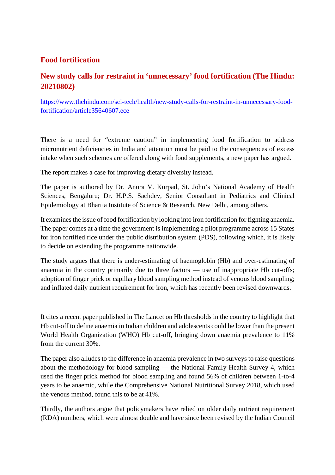#### **Food fortification**

#### **New study calls for restraint in 'unnecessary' food fortification (The Hindu: 20210802)**

https://www.thehindu.com/sci-tech/health/new-study-calls-for-restraint-in-unnecessary-foodfortification/article35640607.ece

There is a need for "extreme caution" in implementing food fortification to address micronutrient deficiencies in India and attention must be paid to the consequences of excess intake when such schemes are offered along with food supplements, a new paper has argued.

The report makes a case for improving dietary diversity instead.

The paper is authored by Dr. Anura V. Kurpad, St. John's National Academy of Health Sciences, Bengaluru; Dr. H.P.S. Sachdev, Senior Consultant in Pediatrics and Clinical Epidemiology at Bhartia Institute of Science & Research, New Delhi, among others.

It examines the issue of food fortification by looking into iron fortification for fighting anaemia. The paper comes at a time the government is implementing a pilot programme across 15 States for iron fortified rice under the public distribution system (PDS), following which, it is likely to decide on extending the programme nationwide.

The study argues that there is under-estimating of haemoglobin (Hb) and over-estimating of anaemia in the country primarily due to three factors — use of inappropriate Hb cut-offs; adoption of finger prick or capillary blood sampling method instead of venous blood sampling; and inflated daily nutrient requirement for iron, which has recently been revised downwards.

It cites a recent paper published in The Lancet on Hb thresholds in the country to highlight that Hb cut-off to define anaemia in Indian children and adolescents could be lower than the present World Health Organization (WHO) Hb cut-off, bringing down anaemia prevalence to 11% from the current 30%.

The paper also alludes to the difference in anaemia prevalence in two surveys to raise questions about the methodology for blood sampling — the National Family Health Survey 4, which used the finger prick method for blood sampling and found 56% of children between 1-to-4 years to be anaemic, while the Comprehensive National Nutritional Survey 2018, which used the venous method, found this to be at 41%.

Thirdly, the authors argue that policymakers have relied on older daily nutrient requirement (RDA) numbers, which were almost double and have since been revised by the Indian Council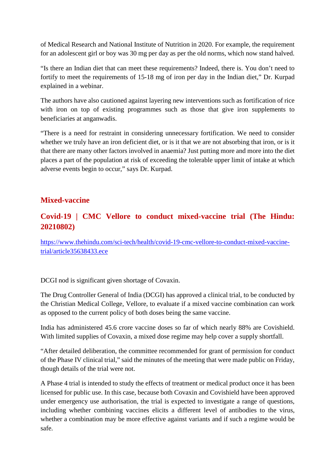of Medical Research and National Institute of Nutrition in 2020. For example, the requirement for an adolescent girl or boy was 30 mg per day as per the old norms, which now stand halved.

"Is there an Indian diet that can meet these requirements? Indeed, there is. You don't need to fortify to meet the requirements of 15-18 mg of iron per day in the Indian diet," Dr. Kurpad explained in a webinar.

The authors have also cautioned against layering new interventions such as fortification of rice with iron on top of existing programmes such as those that give iron supplements to beneficiaries at anganwadis.

"There is a need for restraint in considering unnecessary fortification. We need to consider whether we truly have an iron deficient diet, or is it that we are not absorbing that iron, or is it that there are many other factors involved in anaemia? Just putting more and more into the diet places a part of the population at risk of exceeding the tolerable upper limit of intake at which adverse events begin to occur," says Dr. Kurpad.

#### **Mixed-vaccine**

#### **Covid-19 | CMC Vellore to conduct mixed-vaccine trial (The Hindu: 20210802)**

https://www.thehindu.com/sci-tech/health/covid-19-cmc-vellore-to-conduct-mixed-vaccinetrial/article35638433.ece

DCGI nod is significant given shortage of Covaxin.

The Drug Controller General of India (DCGI) has approved a clinical trial, to be conducted by the Christian Medical College, Vellore, to evaluate if a mixed vaccine combination can work as opposed to the current policy of both doses being the same vaccine.

India has administered 45.6 crore vaccine doses so far of which nearly 88% are Covishield. With limited supplies of Covaxin, a mixed dose regime may help cover a supply shortfall.

"After detailed deliberation, the committee recommended for grant of permission for conduct of the Phase IV clinical trial," said the minutes of the meeting that were made public on Friday, though details of the trial were not.

A Phase 4 trial is intended to study the effects of treatment or medical product once it has been licensed for public use. In this case, because both Covaxin and Covishield have been approved under emergency use authorisation, the trial is expected to investigate a range of questions, including whether combining vaccines elicits a different level of antibodies to the virus, whether a combination may be more effective against variants and if such a regime would be safe.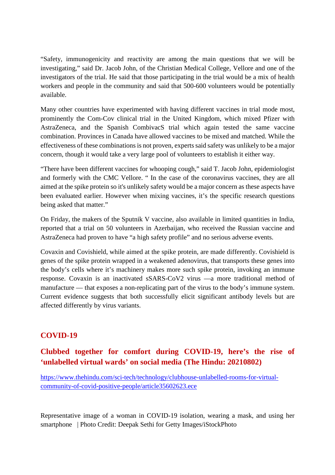"Safety, immunogenicity and reactivity are among the main questions that we will be investigating," said Dr. Jacob John, of the Christian Medical College, Vellore and one of the investigators of the trial. He said that those participating in the trial would be a mix of health workers and people in the community and said that 500-600 volunteers would be potentially available.

Many other countries have experimented with having different vaccines in trial mode most, prominently the Com-Cov clinical trial in the United Kingdom, which mixed Pfizer with AstraZeneca, and the Spanish CombivacS trial which again tested the same vaccine combination. Provinces in Canada have allowed vaccines to be mixed and matched. While the effectiveness of these combinations is not proven, experts said safety was unlikely to be a major concern, though it would take a very large pool of volunteers to establish it either way.

"There have been different vaccines for whooping cough," said T. Jacob John, epidemiologist and formerly with the CMC Vellore. " In the case of the coronavirus vaccines, they are all aimed at the spike protein so it's unlikely safety would be a major concern as these aspects have been evaluated earlier. However when mixing vaccines, it's the specific research questions being asked that matter."

On Friday, the makers of the Sputnik V vaccine, also available in limited quantities in India, reported that a trial on 50 volunteers in Azerbaijan, who received the Russian vaccine and AstraZeneca had proven to have "a high safety profile" and no serious adverse events.

Covaxin and Covishield, while aimed at the spike protein, are made differently. Covishield is genes of the spike protein wrapped in a weakened adenovirus, that transports these genes into the body's cells where it's machinery makes more such spike protein, invoking an immune response. Covaxin is an inactivated sSARS-CoV2 virus —a more traditional method of manufacture — that exposes a non-replicating part of the virus to the body's immune system. Current evidence suggests that both successfully elicit significant antibody levels but are affected differently by virus variants.

#### **COVID-19**

#### **Clubbed together for comfort during COVID-19, here's the rise of 'unlabelled virtual wards' on social media (The Hindu: 20210802)**

https://www.thehindu.com/sci-tech/technology/clubhouse-unlabelled-rooms-for-virtualcommunity-of-covid-positive-people/article35602623.ece

Representative image of a woman in COVID-19 isolation, wearing a mask, and using her smartphone | Photo Credit: Deepak Sethi for Getty Images/iStockPhoto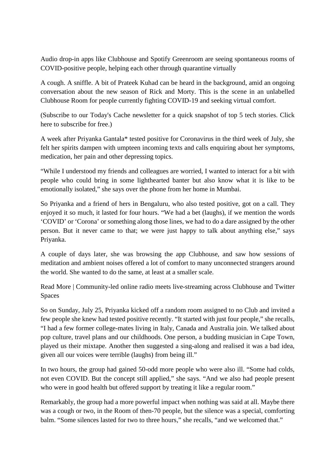Audio drop-in apps like Clubhouse and Spotify Greenroom are seeing spontaneous rooms of COVID-positive people, helping each other through quarantine virtually

A cough. A sniffle. A bit of Prateek Kuhad can be heard in the background, amid an ongoing conversation about the new season of Rick and Morty. This is the scene in an unlabelled Clubhouse Room for people currently fighting COVID-19 and seeking virtual comfort.

(Subscribe to our Today's Cache newsletter for a quick snapshot of top 5 tech stories. Click here to subscribe for free.)

A week after Priyanka Gantala\* tested positive for Coronavirus in the third week of July, she felt her spirits dampen with umpteen incoming texts and calls enquiring about her symptoms, medication, her pain and other depressing topics.

"While I understood my friends and colleagues are worried, I wanted to interact for a bit with people who could bring in some lighthearted banter but also know what it is like to be emotionally isolated," she says over the phone from her home in Mumbai.

So Priyanka and a friend of hers in Bengaluru, who also tested positive, got on a call. They enjoyed it so much, it lasted for four hours. "We had a bet (laughs), if we mention the words 'COVID' or 'Corona' or something along those lines, we had to do a dare assigned by the other person. But it never came to that; we were just happy to talk about anything else," says Priyanka.

A couple of days later, she was browsing the app Clubhouse, and saw how sessions of meditation and ambient noises offered a lot of comfort to many unconnected strangers around the world. She wanted to do the same, at least at a smaller scale.

Read More | Community-led online radio meets live-streaming across Clubhouse and Twitter Spaces

So on Sunday, July 25, Priyanka kicked off a random room assigned to no Club and invited a few people she knew had tested positive recently. "It started with just four people," she recalls, "I had a few former college-mates living in Italy, Canada and Australia join. We talked about pop culture, travel plans and our childhoods. One person, a budding musician in Cape Town, played us their mixtape. Another then suggested a sing-along and realised it was a bad idea, given all our voices were terrible (laughs) from being ill."

In two hours, the group had gained 50-odd more people who were also ill. "Some had colds, not even COVID. But the concept still applied," she says. "And we also had people present who were in good health but offered support by treating it like a regular room."

Remarkably, the group had a more powerful impact when nothing was said at all. Maybe there was a cough or two, in the Room of then-70 people, but the silence was a special, comforting balm. "Some silences lasted for two to three hours," she recalls, "and we welcomed that."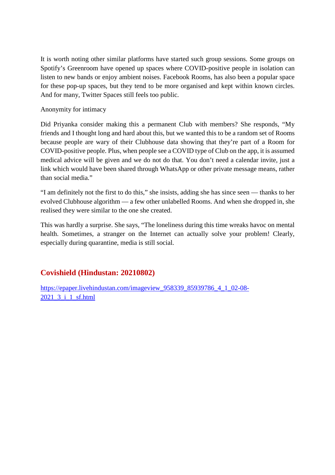It is worth noting other similar platforms have started such group sessions. Some groups on Spotify's Greenroom have opened up spaces where COVID-positive people in isolation can listen to new bands or enjoy ambient noises. Facebook Rooms, has also been a popular space for these pop-up spaces, but they tend to be more organised and kept within known circles. And for many, Twitter Spaces still feels too public.

#### Anonymity for intimacy

Did Priyanka consider making this a permanent Club with members? She responds, "My friends and I thought long and hard about this, but we wanted this to be a random set of Rooms because people are wary of their Clubhouse data showing that they're part of a Room for COVID-positive people. Plus, when people see a COVID type of Club on the app, it is assumed medical advice will be given and we do not do that. You don't need a calendar invite, just a link which would have been shared through WhatsApp or other private message means, rather than social media."

"I am definitely not the first to do this," she insists, adding she has since seen — thanks to her evolved Clubhouse algorithm — a few other unlabelled Rooms. And when she dropped in, she realised they were similar to the one she created.

This was hardly a surprise. She says, "The loneliness during this time wreaks havoc on mental health. Sometimes, a stranger on the Internet can actually solve your problem! Clearly, especially during quarantine, media is still social.

#### **Covishield (Hindustan: 20210802)**

https://epaper.livehindustan.com/imageview\_958339\_85939786\_4\_1\_02-08-2021\_3\_i\_1\_sf.html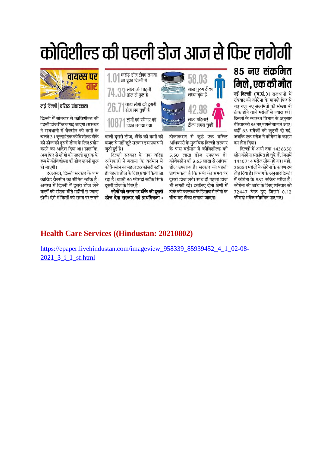# कोविशील्ड की पहली डोज आज से फिर लगेगी



नई दिल्ली | वरिष्ट संवाददाता

दिल्ली में सोमवार से कोविशील्ड की पहली डोज फिर लगाई जाएगी। सरकार ने राजधानी में वैक्सीन की कमी के चलते 31 जुलाई तक कोविशील्ड टीके की डोज को दूसरी डोज के लिए प्रयोग करने का आदेश दिया था। हालांकि, अब फिर से लोगों को पहली खुराक के रूप में कोविशील्ड की डोज लगनी शुरू हो जाएगी।

दरअसल. दिल्ली सरकार के पास कोविड वैक्सीन का सीमित स्टॉक है। अगस्त में दिल्ली में दूसरी डोज लेने वालों की संख्या बीते महीनों से ज्यादा होगी। ऐसे में किसी को समय पर लगने



टीकाकरण से जुड़े एक वरिष्ठ वाली दुसरी डोज, टीके की कमी की वजह से नहीं छूटे सरकार इस प्रयास में अधिकारी के मुताबिक दिल्ली सरकार के पास वर्तमान में कोविशील्ड की 5.50 लाख डोज उपलब्ध है। दिल्ली सरकार के एक वरिष्ठ अधिकारी ने बताया कि वर्तमान में कोवैक्सीन की 3.65 लाख से अधिक कोवैक्सीन का महज 20 फीसदी स्टॉक डोज उपलब्ध है। सरकार की पहली ही पहली डोज के लिए प्रयोग किया जा प्राथमिकता है कि सभी को समय पर रहा है। बाकी 80 फीसदी स्टॉक सिर्फ दसरी डोज लगे। साथ ही पहली डोज भी लगती रहे। इसलिए दोनों श्रेणी में लोगों को समय पर टीके की दूसरी टीके की उपलब्ध के हिसाब से लोगों के

बीच वह टीका लगाया जाएगा।

दम तोड दिया।

### 85 नए संक्रमित मिले, एक की मौत

नई दिल्ली (व.सं.)। राजधानी में रविवार को कोरोना के मामले फिर से बढ गए। नए संक्रमितों की संख्या भी ठीक होने वाले मरीजों से ज्यादा रही। दिल्ली के स्वास्थ्य विभाग के अनुसार रविवारको 85 नए मामले सामाने आए। वहीं 83 मरीजों को छुट्टी दी गई, जबकि एक मरीज ने कोरोना के कारण

दिल्ली में अभी तक 1436350 लोग कोरोना संक्रमित हो चुके हैं, जिसमें 1410714 मरीज ठीक हो गए। वहीं, 25054 मरीजों ने कोरोना के कारण दम तोड़ दिया है। विभाग के अनुसार दिल्ली में कोरोना के 582 सक्रिय मरीज हैं। कोरोना की जांच के लिए शनिवार को 72447 टेस्ट हुए जिसमें 0.12 फीसदी मरीज संक्रमित पाए गए।

#### **Health Care Services ((Hindustan: 20210802)**

दसरी डोज के लिए है।

डोज देना सरकार की प्राथमिकता :

जुटी हुई है।

https://epaper.livehindustan.com/imageview\_958339\_85939452\_4\_1\_02-08-2021 3 i 1 sf.html